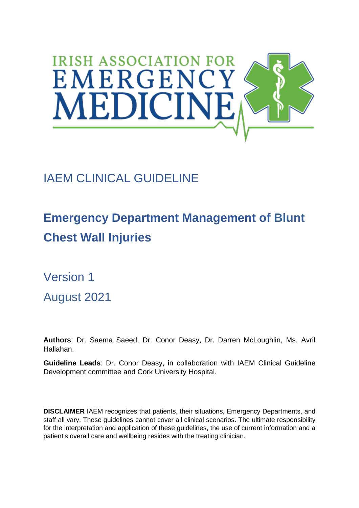

## IAEM CLINICAL GUIDELINE

# **Emergency Department Management of Blunt Chest Wall Injuries**

Version 1 August 2021

**Authors**: Dr. Saema Saeed, Dr. Conor Deasy, Dr. Darren McLoughlin, Ms. Avril Hallahan.

**Guideline Leads**: Dr. Conor Deasy, in collaboration with IAEM Clinical Guideline Development committee and Cork University Hospital.

**DISCLAIMER** IAEM recognizes that patients, their situations, Emergency Departments, and staff all vary. These guidelines cannot cover all clinical scenarios. The ultimate responsibility for the interpretation and application of these guidelines, the use of current information and a patient's overall care and wellbeing resides with the treating clinician.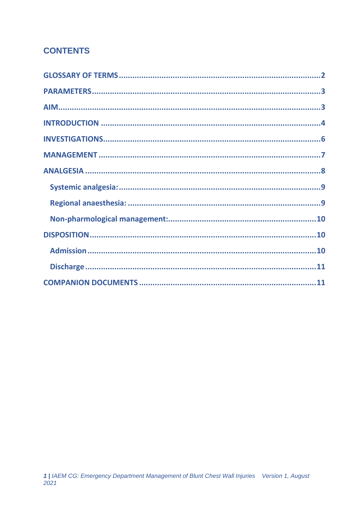### **CONTENTS**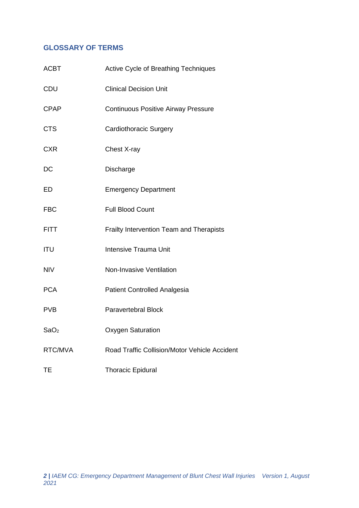#### <span id="page-2-0"></span>**GLOSSARY OF TERMS**

<span id="page-2-1"></span>

| <b>ACBT</b>      | Active Cycle of Breathing Techniques          |
|------------------|-----------------------------------------------|
| CDU              | <b>Clinical Decision Unit</b>                 |
| <b>CPAP</b>      | <b>Continuous Positive Airway Pressure</b>    |
| <b>CTS</b>       | <b>Cardiothoracic Surgery</b>                 |
| <b>CXR</b>       | Chest X-ray                                   |
| DC               | Discharge                                     |
| ED               | <b>Emergency Department</b>                   |
| <b>FBC</b>       | <b>Full Blood Count</b>                       |
| <b>FITT</b>      | Frailty Intervention Team and Therapists      |
| <b>ITU</b>       | <b>Intensive Trauma Unit</b>                  |
| <b>NIV</b>       | Non-Invasive Ventilation                      |
| <b>PCA</b>       | Patient Controlled Analgesia                  |
| <b>PVB</b>       | Paravertebral Block                           |
| SaO <sub>2</sub> | <b>Oxygen Saturation</b>                      |
| RTC/MVA          | Road Traffic Collision/Motor Vehicle Accident |
| TE               | <b>Thoracic Epidural</b>                      |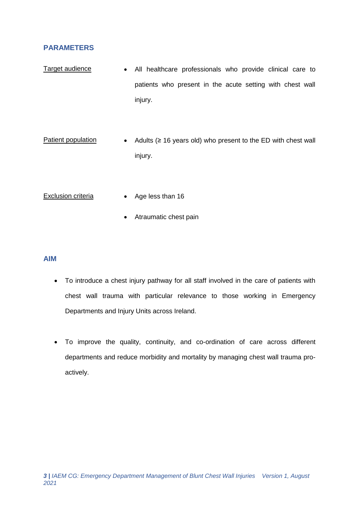#### **PARAMETERS**

- Target audience All healthcare professionals who provide clinical care to patients who present in the acute setting with chest wall injury.
- Patient population  $\bullet$  Adults ( $\geq$  16 years old) who present to the ED with chest wall injury.
- Exclusion criteria Age less than 16
	- Atraumatic chest pain

#### <span id="page-3-0"></span>**AIM**

- To introduce a chest injury pathway for all staff involved in the care of patients with chest wall trauma with particular relevance to those working in Emergency Departments and Injury Units across Ireland.
- To improve the quality, continuity, and co-ordination of care across different departments and reduce morbidity and mortality by managing chest wall trauma proactively.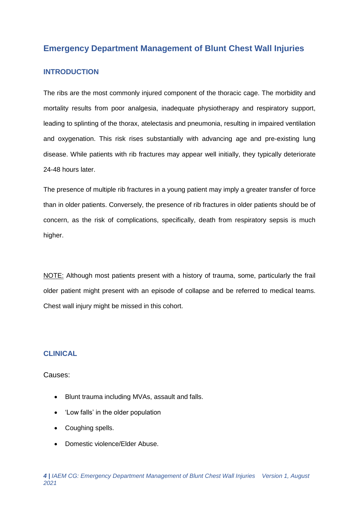#### **Emergency Department Management of Blunt Chest Wall Injuries**

#### <span id="page-4-0"></span>**INTRODUCTION**

The ribs are the most commonly injured component of the thoracic cage. The morbidity and mortality results from poor analgesia, inadequate physiotherapy and respiratory support, leading to splinting of the thorax, atelectasis and pneumonia, resulting in impaired ventilation and oxygenation. This risk rises substantially with advancing age and pre-existing lung disease. While patients with rib fractures may appear well initially, they typically deteriorate 24-48 hours later.

The presence of multiple rib fractures in a young patient may imply a greater transfer of force than in older patients. Conversely, the presence of rib fractures in older patients should be of concern, as the risk of complications, specifically, death from respiratory sepsis is much higher.

NOTE: Although most patients present with a history of trauma, some, particularly the frail older patient might present with an episode of collapse and be referred to medical teams. Chest wall injury might be missed in this cohort.

#### **CLINICAL**

Causes:

- Blunt trauma including MVAs, assault and falls.
- 'Low falls' in the older population
- Coughing spells.
- Domestic violence/Elder Abuse.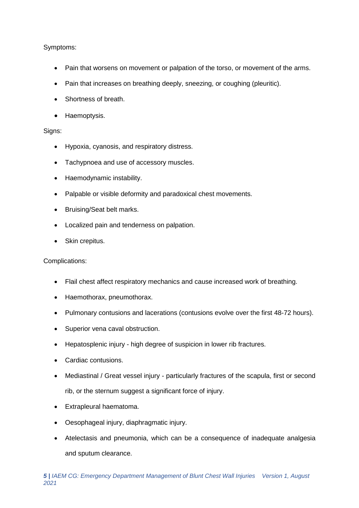#### Symptoms:

- Pain that worsens on movement or palpation of the torso, or movement of the arms.
- Pain that increases on breathing deeply, sneezing, or coughing (pleuritic).
- Shortness of breath.
- Haemoptysis.

#### Signs:

- Hypoxia, cyanosis, and respiratory distress.
- Tachypnoea and use of accessory muscles.
- Haemodynamic instability.
- Palpable or visible deformity and paradoxical chest movements.
- Bruising/Seat belt marks.
- Localized pain and tenderness on palpation.
- Skin crepitus.

#### Complications:

- Flail chest affect respiratory mechanics and cause increased work of breathing.
- Haemothorax, pneumothorax.
- Pulmonary contusions and lacerations (contusions evolve over the first 48-72 hours).
- Superior vena caval obstruction.
- Hepatosplenic injury high degree of suspicion in lower rib fractures.
- Cardiac contusions.
- Mediastinal / Great vessel injury particularly fractures of the scapula, first or second rib, or the sternum suggest a significant force of injury.
- Extrapleural haematoma.
- Oesophageal injury, diaphragmatic injury.
- Atelectasis and pneumonia, which can be a consequence of inadequate analgesia and sputum clearance.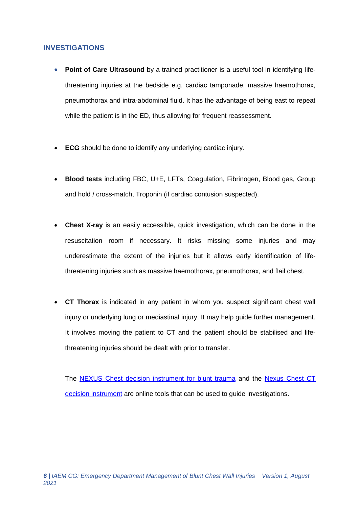#### <span id="page-6-0"></span>**INVESTIGATIONS**

- **Point of Care Ultrasound** by a trained practitioner is a useful tool in identifying lifethreatening injuries at the bedside e.g. cardiac tamponade, massive haemothorax, pneumothorax and intra-abdominal fluid. It has the advantage of being east to repeat while the patient is in the ED, thus allowing for frequent reassessment.
- **ECG** should be done to identify any underlying cardiac injury.
- **Blood tests** including FBC, U+E, LFTs, Coagulation, Fibrinogen, Blood gas, Group and hold / cross-match, Troponin (if cardiac contusion suspected).
- **Chest X-ray** is an easily accessible, quick investigation, which can be done in the resuscitation room if necessary. It risks missing some injuries and may underestimate the extent of the injuries but it allows early identification of lifethreatening injuries such as massive haemothorax, pneumothorax, and flail chest.
- **CT Thorax** is indicated in any patient in whom you suspect significant chest wall injury or underlying lung or mediastinal injury. It may help guide further management. It involves moving the patient to CT and the patient should be stabilised and lifethreatening injuries should be dealt with prior to transfer.

The [NEXUS Chest decision instrument for blunt trauma](https://www.mdcalc.com/nexus-chest-decision-instrument-blunt-chest-trauma) and the [Nexus Chest CT](https://www.mdcalc.com/nexus-chest-ct-decision-instrument-ct-imaging)  [decision instrument](https://www.mdcalc.com/nexus-chest-ct-decision-instrument-ct-imaging) are online tools that can be used to guide investigations.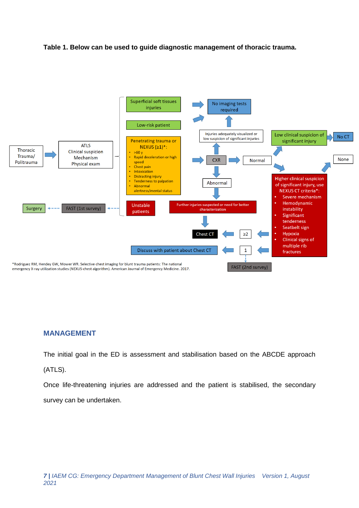#### **Table 1. Below can be used to guide diagnostic management of thoracic trauma.**



#### <span id="page-7-0"></span>**MANAGEMENT**

The initial goal in the ED is assessment and stabilisation based on the ABCDE approach

#### (ATLS).

Once life-threatening injuries are addressed and the patient is stabilised, the secondary survey can be undertaken.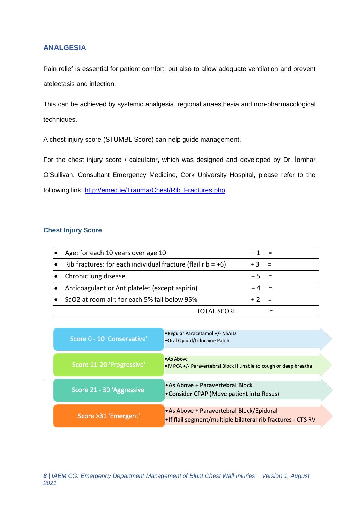#### <span id="page-8-0"></span>**ANALGESIA**

Pain relief is essential for patient comfort, but also to allow adequate ventilation and prevent atelectasis and infection.

This can be achieved by systemic analgesia, regional anaesthesia and non-pharmacological techniques.

A chest injury score (STUMBL Score) can help guide management.

For the chest injury score / calculator, which was designed and developed by Dr. Íomhar O'Sullivan, Consultant Emergency Medicine, Cork University Hospital, please refer to the following link: [http://emed.ie/Trauma/Chest/Rib\\_Fractures.php](http://emed.ie/Trauma/Chest/Rib_Fractures.php)

#### **Chest Injury Score**

.

| Age: for each 10 years over age 10                              |        |     |
|-----------------------------------------------------------------|--------|-----|
| Rib fractures: for each individual fracture (flail rib = $+6$ ) | $+3 =$ |     |
| Chronic lung disease                                            | $+5$   | - = |
| Anticoagulant or Antiplatelet (except aspirin)                  |        | - = |
| SaO2 at room air: for each 5% fall below 95%                    |        |     |
| TOTAL SCORE                                                     |        |     |

| Score 0 - 10 'Conservative' | • Regular Paracetamol +/- NSAID<br>•Oral Opioid/Lidocaine Patch                                          |  |
|-----------------------------|----------------------------------------------------------------------------------------------------------|--|
| Score 11-20 'Progressive'   | • As Above<br>. IV PCA +/- Paravertebral Block if unable to cough or deep breathe                        |  |
| Score 21 - 30 'Aggressive'  | .As Above + Paravertebral Block<br>•Consider CPAP (Move patient into Resus)                              |  |
| Score > 31 'Emergent'       | .As Above + Paravertebral Block/Epidural<br>. If flail segment/multiple bilateral rib fractures - CTS RV |  |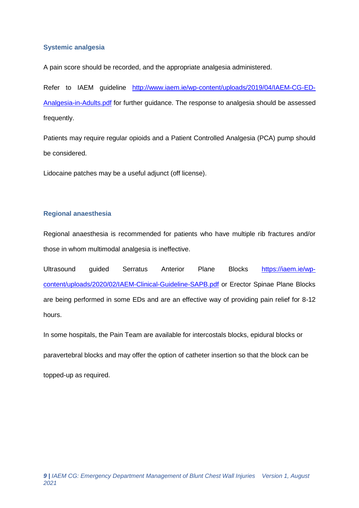#### <span id="page-9-0"></span>**Systemic analgesia**

A pain score should be recorded, and the appropriate analgesia administered.

Refer to IAEM guideline [http://www.iaem.ie/wp-content/uploads/2019/04/IAEM-CG-ED-](http://www.iaem.ie/wp-content/uploads/2019/04/IAEM-CG-ED-Analgesia-in-Adults.pdf)[Analgesia-in-Adults.pdf](http://www.iaem.ie/wp-content/uploads/2019/04/IAEM-CG-ED-Analgesia-in-Adults.pdf) for further guidance. The response to analgesia should be assessed frequently.

Patients may require regular opioids and a Patient Controlled Analgesia (PCA) pump should be considered.

Lidocaine patches may be a useful adjunct (off license).

#### <span id="page-9-1"></span>**Regional anaesthesia**

Regional anaesthesia is recommended for patients who have multiple rib fractures and/or those in whom multimodal analgesia is ineffective.

Ultrasound guided Serratus Anterior Plane Blocks [https://iaem.ie/wp](https://iaem.ie/wp-content/uploads/2020/02/IAEM-Clinical-Guideline-SAPB.pdf)[content/uploads/2020/02/IAEM-Clinical-Guideline-SAPB.pdf](https://iaem.ie/wp-content/uploads/2020/02/IAEM-Clinical-Guideline-SAPB.pdf) or Erector Spinae Plane Blocks are being performed in some EDs and are an effective way of providing pain relief for 8-12 hours.

In some hospitals, the Pain Team are available for intercostals blocks, epidural blocks or

paravertebral blocks and may offer the option of catheter insertion so that the block can be

topped-up as required.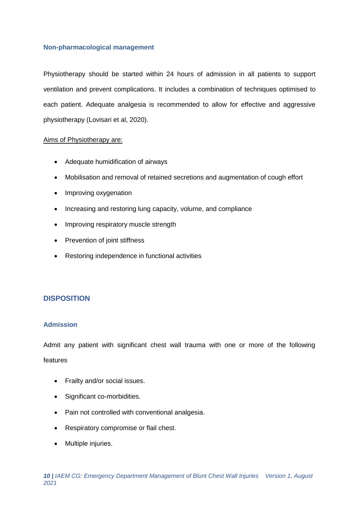#### <span id="page-10-0"></span>**Non-pharmacological management**

Physiotherapy should be started within 24 hours of admission in all patients to support ventilation and prevent complications. It includes a combination of techniques optimised to each patient. Adequate analgesia is recommended to allow for effective and aggressive physiotherapy (Lovisari et al, 2020).

#### Aims of Physiotherapy are:

- Adequate humidification of airways
- Mobilisation and removal of retained secretions and augmentation of cough effort
- Improving oxygenation
- Increasing and restoring lung capacity, volume, and compliance
- Improving respiratory muscle strength
- Prevention of joint stiffness
- Restoring independence in functional activities

#### <span id="page-10-1"></span>**DISPOSITION**

#### <span id="page-10-2"></span>**Admission**

Admit any patient with significant chest wall trauma with one or more of the following features

- Frailty and/or social issues.
- Significant co-morbidities.
- Pain not controlled with conventional analgesia.
- Respiratory compromise or flail chest.
- Multiple injuries.